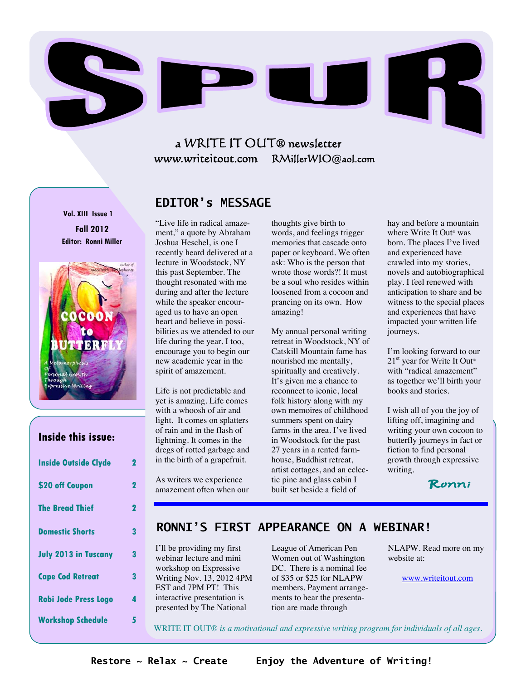

# a WRITE IT OUT® newsletter www.writeitout.com RMillerWIO@aol.com

**Vol. XIII Issue 1 Fall 2012 Editor: Ronni Miller** 



## **Inside this issue:**

| <b>Inside Outside Clyde</b> | 2           |
|-----------------------------|-------------|
| \$20 off Coupon             | $\mathbf 2$ |
| <b>The Bread Thief</b>      | $\mathbf 2$ |
| <b>Domestic Shorts</b>      | 3           |
| <b>July 2013 in Tuscany</b> | 3           |
| <b>Cape Cod Retreat</b>     | 3           |
| <b>Robi Jode Press Logo</b> | 4           |
| <b>Workshop Schedule</b>    | 5           |

## **EDITOR's MESSAGE**

"Live life in radical amazement," a quote by Abraham Joshua Heschel, is one I recently heard delivered at a lecture in Woodstock, NY this past September. The thought resonated with me during and after the lecture while the speaker encouraged us to have an open heart and believe in possibilities as we attended to our life during the year. I too, encourage you to begin our new academic year in the spirit of amazement.

Life is not predictable and yet is amazing. Life comes with a whoosh of air and light. It comes on splatters of rain and in the flash of lightning. It comes in the dregs of rotted garbage and in the birth of a grapefruit.

As writers we experience amazement often when our thoughts give birth to words, and feelings trigger memories that cascade onto paper or keyboard. We often ask: Who is the person that wrote those words?! It must be a soul who resides within loosened from a cocoon and prancing on its own. How amazing!

My annual personal writing retreat in Woodstock, NY of Catskill Mountain fame has nourished me mentally, spiritually and creatively. It's given me a chance to reconnect to iconic, local folk history along with my own memoires of childhood summers spent on dairy farms in the area. I've lived in Woodstock for the past 27 years in a rented farmhouse, Buddhist retreat, artist cottages, and an eclectic pine and glass cabin I built set beside a field of

hay and before a mountain where Write It Out® was born. The places I've lived and experienced have crawled into my stories, novels and autobiographical play. I feel renewed with anticipation to share and be witness to the special places and experiences that have impacted your written life journeys.

I'm looking forward to our  $21<sup>st</sup>$  year for Write It Out<sup>®</sup> with "radical amazement" as together we'll birth your books and stories.

I wish all of you the joy of lifting off, imagining and writing your own cocoon to butterfly journeys in fact or fiction to find personal growth through expressive writing.

Ronni

## **RONNI'S FIRST APPEARANCE ON A WEBINAR!**

I'll be providing my first webinar lecture and mini workshop on Expressive Writing Nov. 13, 2012 4PM EST and 7PM PT! This interactive presentation is presented by The National

League of American Pen Women out of Washington DC. There is a nominal fee of \$35 or \$25 for NLAPW members. Payment arrangements to hear the presentation are made through

NLAPW. Read more on my website at:

www.writeitout.com

WRITE IT OUT® *is a motivational and expressive writing program for individuals of all ages.*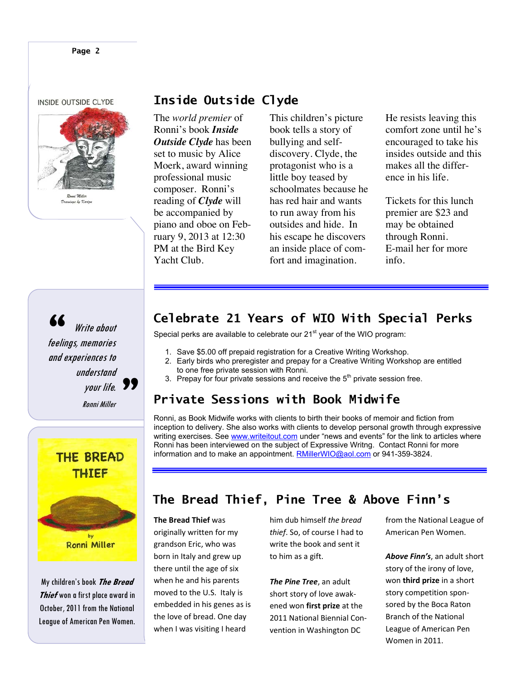INSIDE OUTSIDE CLYDE



**Inside Outside Clyde** 

The *world premier* of Ronni's book *Inside Outside Clyde* has been set to music by Alice Moerk, award winning professional music composer. Ronni's reading of *Clyde* will be accompanied by piano and oboe on February 9, 2013 at 12:30 PM at the Bird Key Yacht Club.

This children's picture book tells a story of bullying and selfdiscovery. Clyde, the protagonist who is a little boy teased by schoolmates because he has red hair and wants to run away from his outsides and hide. In his escape he discovers an inside place of comfort and imagination.

He resists leaving this comfort zone until he's encouraged to take his insides outside and this makes all the difference in his life.

Tickets for this lunch premier are \$23 and may be obtained through Ronni. E-mail her for more info.

# Write about 66<br>**"**<br>feelings, memories and experiences to understand your life. Ronni Miller "



My children's book **The Bread Thief** won a first place award in October, 2011 from the National League of American Pen Women.

# **Celebrate 21 Years of WIO With Special Perks**

Special perks are available to celebrate our 21<sup>st</sup> year of the WIO program:

- 1. Save \$5.00 off prepaid registration for a Creative Writing Workshop.
- 2. Early birds who preregister and prepay for a Creative Writing Workshop are entitled to one free private session with Ronni.
- 3. Prepay for four private sessions and receive the  $5<sup>th</sup>$  private session free.

# **Private Sessions with Book Midwife**

Ronni, as Book Midwife works with clients to birth their books of memoir and fiction from inception to delivery. She also works with clients to develop personal growth through expressive writing exercises. See www.writeitout.com under "news and events" for the link to articles where Ronni has been interviewed on the subject of Expressive Writng. Contact Ronni for more information and to make an appointment. RMillerWIO@aol.com or 941-359-3824.

# **The Bread Thief, Pine Tree & Above Finn's**

**The Bread Thief** was originally written for my grandson Eric, who was born in Italy and grew up there until the age of six when he and his parents moved to the U.S. Italy is embedded in his genes as is the love of bread. One day when I was visiting I heard

him dub himself *the bread thief*. So, of course I had to write the book and sent it to him as a gift.

*The Pine Tree*, an adult short story of love awakened won **first prize** at the 2011 National Biennial Convention in Washington DC

from the National League of American Pen Women.

*Above Finn's*, an adult short story of the irony of love, won **third prize** in a short story competition sponsored by the Boca Raton Branch of the National League of American Pen Women in 2011.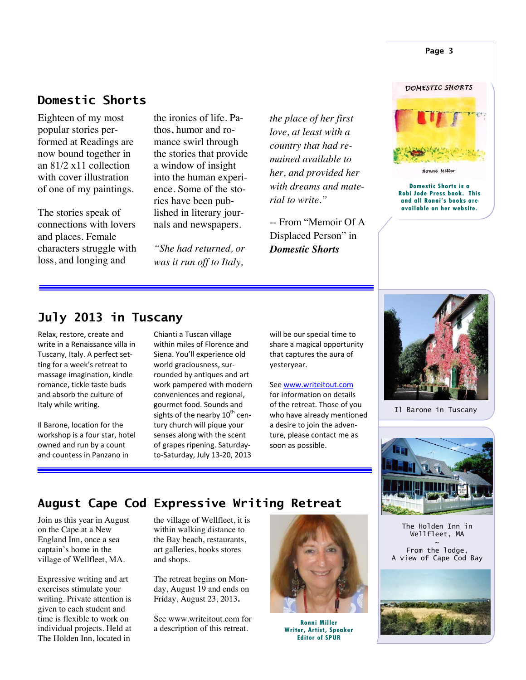# **Domestic Shorts**

Eighteen of my most popular stories performed at Readings are now bound together in an 81/2 x11 collection with cover illustration of one of my paintings.

The stories speak of connections with lovers and places. Female characters struggle with loss, and longing and

the ironies of life. Pathos, humor and romance swirl through the stories that provide a window of insight into the human experience. Some of the stories have been published in literary journals and newspapers.

*"She had returned, or was it run off to Italy,* 

*the place of her first love, at least with a country that had remained available to her, and provided her with dreams and material to write."* 

-- From "Memoir Of A Displaced Person" in *Domestic Shorts*

# DOMESTIC SHORTS

**Page 3** 

Ronní Miller

**Domestic Shorts is a Robi Jode Press book. This and all Ronni's books are available on her website.** 

# **July 2013 in Tuscany**

Relax, restore, create and write in a Renaissance villa in Tuscany, Italy. A perfect setting for a week's retreat to massage imagination, kindle romance, tickle taste buds and absorb the culture of Italy while writing.

Il Barone, location for the workshop is a four star, hotel owned and run by a count and countess in Panzano in

Chianti a Tuscan village within miles of Florence and Siena. You'll experience old world graciousness, surrounded by antiques and art work pampered with modern conveniences and regional, gourmet food. Sounds and sights of the nearby  $10^{th}$  century church will pique your senses along with the scent of grapes ripening. Saturdayto-Saturday, July 13-20, 2013

will be our special time to share a magical opportunity that captures the aura of yesteryear.

See www.writeitout.com for information on details of the retreat. Those of you who have already mentioned a desire to join the adventure, please contact me as soon as possible.



Il Barone in Tuscany



## **August Cape Cod Expressive Writing Retreat**

Join us this year in August on the Cape at a New England Inn, once a sea captain's home in the village of Wellfleet, MA.

Expressive writing and art exercises stimulate your writing. Private attention is given to each student and time is flexible to work on individual projects. Held at The Holden Inn, located in

the village of Wellfleet, it is within walking distance to the Bay beach, restaurants, art galleries, books stores and shops.

The retreat begins on Monday, August 19 and ends on Friday, August 23, 2013**.**

See www.writeitout.com for a description of this retreat.



**Ronni Miller Writer, Artist, Speaker Editor of SPUR** 

The Holden Inn in Wellfleet, MA  $\sim$ From the lodge, A view of Cape Cod Bay

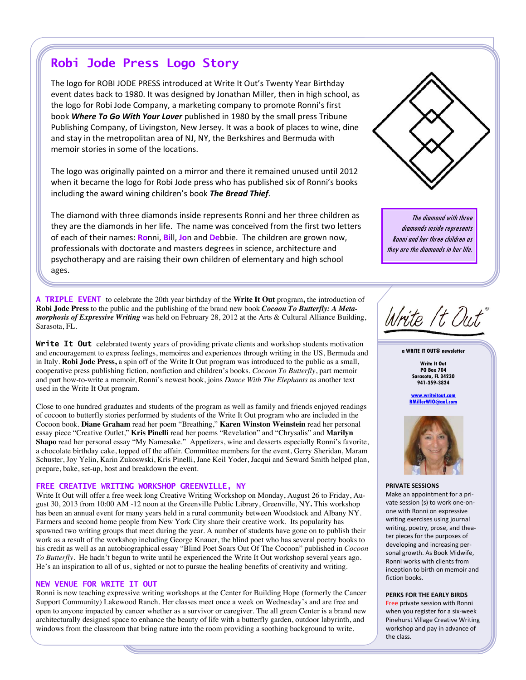# **Robi Jode Press Logo Story**

The logo for ROBI JODE PRESS introduced at Write It Out's Twenty Year Birthday event dates back to 1980. It was designed by Jonathan Miller, then in high school, as the logo for Robi Jode Company, a marketing company to promote Ronni's first book *Where To Go With Your Lover* published in 1980 by the small press Tribune Publishing Company, of Livingston, New Jersey. It was a book of places to wine, dine and stay in the metropolitan area of NJ, NY, the Berkshires and Bermuda with memoir stories in some of the locations.

The logo was originally painted on a mirror and there it remained unused until 2012 when it became the logo for Robi Jode press who has published six of Ronni's books including the award wining children's book *The Bread Thief*.

The diamond with three diamonds inside represents Ronni and her three children as they are the diamonds in her life. The name was conceived from the first two letters of each of their names: **Ro**nni, **Bi**ll, **Jo**n and **De**bbie.The children are grown now, professionals with doctorate and masters degrees in science, architecture and psychotherapy and are raising their own children of elementary and high school ages.

**A TRIPLE EVENT** to celebrate the 20th year birthday of the **Write It Out** program**,** the introduction of **Robi Jode Press** to the public and the publishing of the brand new book *Cocoon To Butterfly: A Metamorphosis of Expressive Writing* was held on February 28, 2012 at the Arts & Cultural Alliance Building, Sarasota, FL.

Write It Out celebrated twenty years of providing private clients and workshop students motivation and encouragement to express feelings, memoires and experiences through writing in the US, Bermuda and in Italy. **Robi Jode Press,** a spin off of the Write It Out program was introduced to the public as a small, cooperative press publishing fiction, nonfiction and children's books. *Cocoon To Butterfly*, part memoir and part how-to-write a memoir, Ronni's newest book, joins *Dance With The Elephants* as another text used in the Write It Out program.

Close to one hundred graduates and students of the program as well as family and friends enjoyed readings of cocoon to butterfly stories performed by students of the Write It Out program who are included in the Cocoon book. **Diane Graham** read her poem "Breathing," **Karen Winston Weinstein** read her personal essay piece "Creative Outlet," **Kris Pinelli** read her poems "Revelation" and "Chrysalis" and **Marilyn Shapo** read her personal essay "My Namesake." Appetizers, wine and desserts especially Ronni's favorite, a chocolate birthday cake, topped off the affair. Committee members for the event, Gerry Sheridan, Maram Schuster, Joy Yelin, Karin Zukoswski, Kris Pinelli, Jane Keil Yoder, Jacqui and Seward Smith helped plan, prepare, bake, set-up, host and breakdown the event.

#### **FREE CREATIVE WRITING WORKSHOP GREENVILLE, NY**

Write It Out will offer a free week long Creative Writing Workshop on Monday, August 26 to Friday, August 30, 2013 from 10:00 AM -12 noon at the Greenville Public Library, Greenville, NY**.** This workshop has been an annual event for many years held in a rural community between Woodstock and Albany NY. Farmers and second home people from New York City share their creative work. Its popularity has spawned two writing groups that meet during the year. A number of students have gone on to publish their work as a result of the workshop including George Knauer, the blind poet who has several poetry books to his credit as well as an autobiographical essay "Blind Poet Soars Out Of The Cocoon" published in *Cocoon To Butterfly.* He hadn't begun to write until he experienced the Write It Out workshop several years ago. He's an inspiration to all of us, sighted or not to pursue the healing benefits of creativity and writing.

#### **NEW VENUE FOR WRITE IT OUT**

Ronni is now teaching expressive writing workshops at the Center for Building Hope (formerly the Cancer Support Community) Lakewood Ranch. Her classes meet once a week on Wednesday's and are free and open to anyone impacted by cancer whether as a survivor or caregiver. The all green Center is a brand new architecturally designed space to enhance the beauty of life with a butterfly garden, outdoor labyrinth, and windows from the classroom that bring nature into the room providing a soothing background to write.



The diamond with three diamonds inside represents Ronni and her three children as they are the diamonds in her life.

Write It Out®

**a WRITE IT OUT® newsletter** 

**Write It Out PO Box 704 Sarasota, FL 34230 941-359-3824** 

**www.writeitout.com RMillerWIO@aol.com** 



#### **PRIVATE SESSIONS**

Make an appointment for a private session (s) to work one-onone with Ronni on expressive writing exercises using journal writing, poetry, prose, and theater pieces for the purposes of developing and increasing personal growth. As Book Midwife, Ronni works with clients from inception to birth on memoir and fiction books.

#### **PERKS FOR THE EARLY BIRDS**

Free private session with Ronni when you register for a six-week Pinehurst Village Creative Writing workshop and pay in advance of the class.